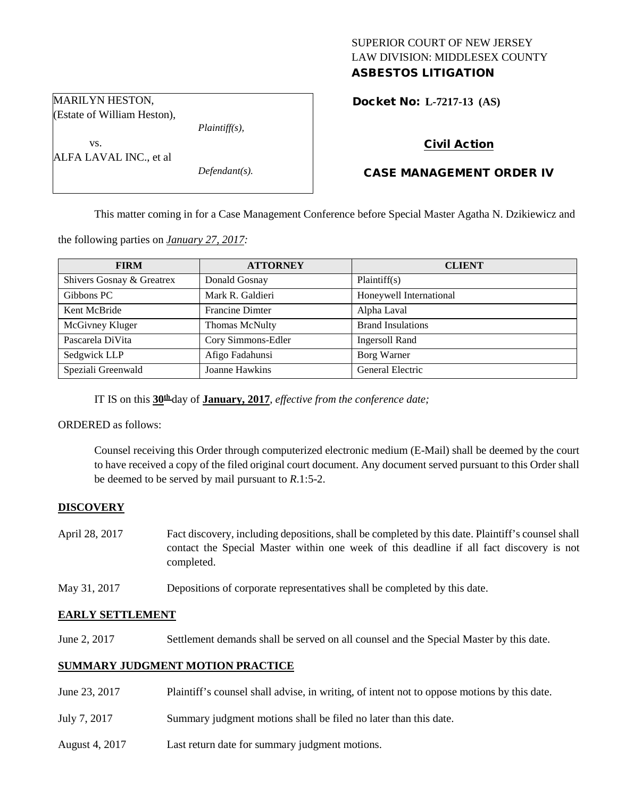# SUPERIOR COURT OF NEW JERSEY LAW DIVISION: MIDDLESEX COUNTY ASBESTOS LITIGATION

Docket No: **L-7217-13 (AS)** 

Civil Action

# CASE MANAGEMENT ORDER IV

This matter coming in for a Case Management Conference before Special Master Agatha N. Dzikiewicz and

the following parties on *January 27, 2017:*

| <b>FIRM</b>               | <b>ATTORNEY</b>        | <b>CLIENT</b>            |
|---------------------------|------------------------|--------------------------|
| Shivers Gosnay & Greatrex | Donald Gosnay          | Plaintiff(s)             |
| Gibbons PC                | Mark R. Galdieri       | Honeywell International  |
| Kent McBride              | <b>Francine Dimter</b> | Alpha Laval              |
| McGivney Kluger           | Thomas McNulty         | <b>Brand Insulations</b> |
| Pascarela DiVita          | Cory Simmons-Edler     | <b>Ingersoll Rand</b>    |
| Sedgwick LLP              | Afigo Fadahunsi        | Borg Warner              |
| Speziali Greenwald        | Joanne Hawkins         | <b>General Electric</b>  |

IT IS on this **30th** day of **January, 2017**, *effective from the conference date;*

ORDERED as follows:

Counsel receiving this Order through computerized electronic medium (E-Mail) shall be deemed by the court to have received a copy of the filed original court document. Any document served pursuant to this Order shall be deemed to be served by mail pursuant to *R*.1:5-2.

## **DISCOVERY**

- April 28, 2017 Fact discovery, including depositions, shall be completed by this date. Plaintiff's counsel shall contact the Special Master within one week of this deadline if all fact discovery is not completed.
- May 31, 2017 Depositions of corporate representatives shall be completed by this date.

#### **EARLY SETTLEMENT**

June 2, 2017 Settlement demands shall be served on all counsel and the Special Master by this date.

#### **SUMMARY JUDGMENT MOTION PRACTICE**

- June 23, 2017 Plaintiff's counsel shall advise, in writing, of intent not to oppose motions by this date.
- July 7, 2017 Summary judgment motions shall be filed no later than this date.
- August 4, 2017 Last return date for summary judgment motions.

MARILYN HESTON, (Estate of William Heston),

ALFA LAVAL INC., et al

vs.

*Plaintiff(s),*

*Defendant(s).*